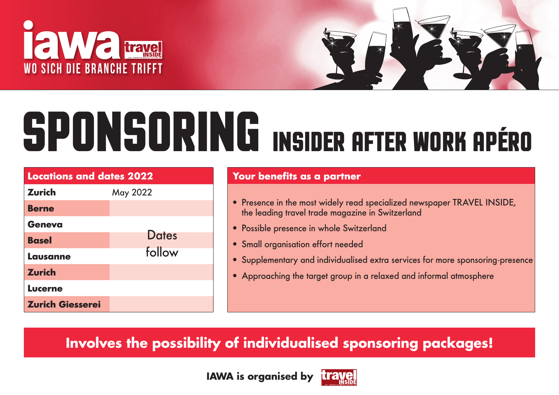



# **SPONSORING INSIDER AFTER WORK APÉRO**

| <b>Locations and dates 2022</b> |              |  |  |  |  |  |  |
|---------------------------------|--------------|--|--|--|--|--|--|
| <b>Zurich</b>                   | May 2022     |  |  |  |  |  |  |
| <b>Berne</b>                    |              |  |  |  |  |  |  |
| <b>Geneva</b>                   |              |  |  |  |  |  |  |
| <b>Basel</b>                    | <b>Dates</b> |  |  |  |  |  |  |
| <b>Lausanne</b>                 | follow       |  |  |  |  |  |  |
| <b>Zurich</b>                   |              |  |  |  |  |  |  |
| <b>Lucerne</b>                  |              |  |  |  |  |  |  |
| <b>Zurich Giesserei</b>         |              |  |  |  |  |  |  |

### *Your benefits as a partner*

- *Presence in the most widely read specialized newspaper TRAVEL INSIDE, the leading travel trade magazine in Switzerland*
- *Possible presence in whole Switzerland*
- *Small organisation effort needed*
- *Supplementary and individualised extra services for more sponsoring-presence*
- *Approaching the target group in a relaxed and informal atmosphere*

**Involves the possibility of individualised sponsoring packages!**

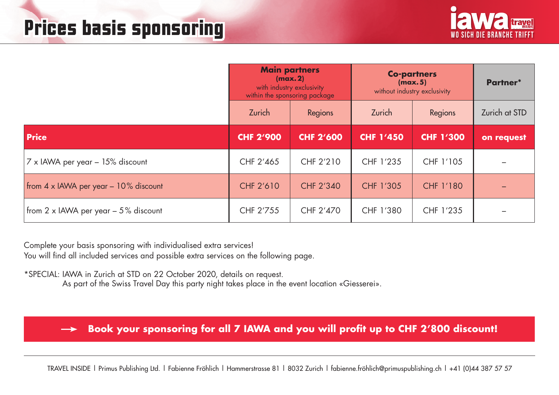

|                                                |                  | <b>Main partners</b><br>(max.2)<br>with industry exclusivity<br>within the sponsoring package | <b>Co-partners</b><br>(max.5)<br>without industry exclusivity | Partner*         |               |
|------------------------------------------------|------------------|-----------------------------------------------------------------------------------------------|---------------------------------------------------------------|------------------|---------------|
|                                                | Zurich           | Regions                                                                                       | Zurich                                                        | Regions          | Zurich at STD |
| <b>Price</b>                                   | <b>CHF 2'900</b> | <b>CHF 2'600</b>                                                                              | <b>CHF 1'450</b>                                              | <b>CHF 1'300</b> | on request    |
| 7 x IAWA per year - 15% discount               | CHF 2'465        | CHF 2'210                                                                                     | CHF 1'235                                                     | CHF 1'105        |               |
| from $4 \times$ IAWA per year $-10\%$ discount | <b>CHF 2'610</b> | CHF 2'340                                                                                     | CHF 1'305                                                     | CHF 1'180        |               |
| from 2 x IAWA per year $-5\%$ discount         | CHF 2'755        | CHF 2'470                                                                                     | CHF 1'380                                                     | CHF 1'235        |               |

Complete your basis sponsoring with individualised extra services! You will find all included services and possible extra services on the following page.

\*SPECIAL: IAWA in Zurich at STD on 22 October 2020, details on request.

As part of the Swiss Travel Day this party night takes place in the event location «Giesserei».

**Book your sponsoring for all 7 IAWA and you will profit up to CHF 2'800 discount!**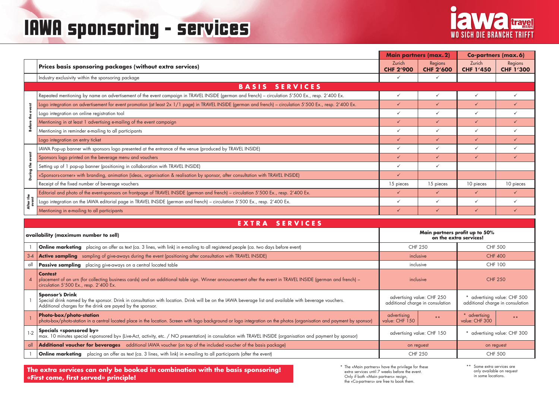## **IAWA sponsoring - services**



|                    |                                                                                                                                                            | <b>Main partners (max. 2)</b> |                             | <b>Co-partners (max.6)</b> |                             |
|--------------------|------------------------------------------------------------------------------------------------------------------------------------------------------------|-------------------------------|-----------------------------|----------------------------|-----------------------------|
|                    | Prices basis sponsoring packages (without extra services)                                                                                                  | Zurich<br><b>CHF 2'900</b>    | Regions<br><b>CHF 2'600</b> | Zurich<br><b>CHF 1'450</b> | Regions<br><b>CHF 1'300</b> |
|                    | Industry exclusivity within the sponsoring package                                                                                                         |                               |                             |                            |                             |
|                    | <b>SERVICES</b><br><b>BASIS</b>                                                                                                                            |                               |                             |                            |                             |
|                    | Repeated mentioning by name on advertisement of the event campaign in TRAVEL INSIDE (german and french) – circulation 5'500 Ex., resp. 2'400 Ex.           | $\checkmark$                  | $\checkmark$                | $\checkmark$               |                             |
|                    | Logo integration on advertisement for event promotion (at least 2x 1/1 page) in TRAVEL INSIDE (german and french) – circulation 5'500 Ex., resp. 2'400 Ex. | $\checkmark$                  | $\checkmark$                | ✓                          |                             |
|                    | Logo integration on online registration tool                                                                                                               | $\checkmark$                  | $\checkmark$                |                            |                             |
|                    | Mentioning in at least 1 advertising e-mailing of the event campaign                                                                                       | $\checkmark$                  | $\checkmark$                | ✓                          |                             |
| After the<br>event | Mentioning in reminder e-mailing to all participants                                                                                                       | $\checkmark$                  | $\checkmark$                | $\checkmark$               |                             |
|                    | Logo integration on entry ticket                                                                                                                           | $\checkmark$                  | $\checkmark$                | ✓                          |                             |
|                    | IAWA Pop-up banner with sponsors logo presented at the entrance of the venue (produced by TRAVEL INSIDE)                                                   |                               | $\checkmark$                | ✓                          |                             |
|                    | Sponsors logo printed on the beverage menu and vouchers                                                                                                    | $\checkmark$                  | ✓                           | ✓                          |                             |
|                    | Setting up of 1 pop-up banner (positioning in collaboration with TRAVEL INSIDE)                                                                            | ✓                             | $\checkmark$                |                            |                             |
|                    | «Sponsors-corner» with branding, animation (ideas, organisation & realisation by sponsor, after consultation with TRAVEL INSIDE)                           | $\checkmark$                  |                             |                            |                             |
|                    | Receipt of the fixed number of beverage vouchers                                                                                                           | 15 pieces                     | 15 pieces                   | 10 pieces                  | 10 pieces                   |
|                    | Editorial and photo of the event-sponsors on frontpage of TRAVEL INSIDE (german and french) - circulation 5'500 Ex., resp. 2'400 Ex.                       | $\checkmark$                  | $\checkmark$                | $\checkmark$               |                             |
|                    | Logo integration on the IAWA editorial page in TRAVEL INSIDE (german and french) - circulation 5'500 Ex., resp. 2'400 Ex.                                  | ✓                             | $\checkmark$                | $\checkmark$               |                             |
|                    | Mentioning in e-mailing to all participants                                                                                                                |                               | $\checkmark$                |                            |                             |

| EXTRA SERVICES |  |
|----------------|--|
|----------------|--|

|                                       | .ogo infegrafion on adverfisement for event promotion (af least Zx T/T page) in TKAVELTINSIDE (german and french) – circulation 5 500 Ex., resp. 2 400 Ex.                                                                                     |                                                                                                    |                                  |                                                          |                            |  |  |  |  |  |
|---------------------------------------|------------------------------------------------------------------------------------------------------------------------------------------------------------------------------------------------------------------------------------------------|----------------------------------------------------------------------------------------------------|----------------------------------|----------------------------------------------------------|----------------------------|--|--|--|--|--|
| š<br>te<br>#                          | Logo integration on online registration tool                                                                                                                                                                                                   | $\checkmark$                                                                                       | $\checkmark$                     | $\checkmark$                                             | $\checkmark$               |  |  |  |  |  |
|                                       | Mentioning in at least 1 advertising e-mailing of the event campaign                                                                                                                                                                           | $\checkmark$                                                                                       | $\checkmark$                     | $\checkmark$                                             | $\checkmark$               |  |  |  |  |  |
|                                       | Mentioning in reminder e-mailing to all participants                                                                                                                                                                                           | $\checkmark$                                                                                       | ✓                                | $\checkmark$                                             | $\checkmark$               |  |  |  |  |  |
|                                       | Logo integration on entry ticket                                                                                                                                                                                                               | $\checkmark$                                                                                       | $\checkmark$                     | $\checkmark$                                             | $\checkmark$               |  |  |  |  |  |
|                                       | IAWA Pop-up banner with sponsors logo presented at the entrance of the venue (produced by TRAVEL INSIDE)                                                                                                                                       | $\checkmark$                                                                                       | $\checkmark$                     | $\checkmark$                                             | $\checkmark$               |  |  |  |  |  |
| event                                 | Sponsors logo printed on the beverage menu and vouchers                                                                                                                                                                                        | $\checkmark$                                                                                       | $\checkmark$                     | $\checkmark$                                             | $\checkmark$               |  |  |  |  |  |
|                                       | Setting up of 1 pop-up banner (positioning in collaboration with TRAVEL INSIDE)                                                                                                                                                                | $\checkmark$                                                                                       | $\checkmark$                     |                                                          |                            |  |  |  |  |  |
| During the                            | «Sponsors-corner» with branding, animation (ideas, organisation & realisation by sponsor, after consultation with TRAVEL INSIDE)                                                                                                               | $\checkmark$                                                                                       |                                  |                                                          |                            |  |  |  |  |  |
|                                       | Receipt of the fixed number of beverage vouchers                                                                                                                                                                                               | 15 pieces                                                                                          | 15 pieces                        | 10 pieces                                                | 10 pieces                  |  |  |  |  |  |
|                                       | Editorial and photo of the event-sponsors on frontpage of TRAVEL INSIDE (german and french) - circulation 5'500 Ex., resp. 2'400 Ex.                                                                                                           | $\checkmark$                                                                                       | $\checkmark$                     | $\checkmark$                                             | $\checkmark$               |  |  |  |  |  |
| After the<br>event                    | Logo integration on the IAWA editorial page in TRAVEL INSIDE (german and french) - circulation 5'500 Ex., resp. 2'400 Ex.                                                                                                                      | $\checkmark$                                                                                       | ✓                                | $\checkmark$                                             | $\checkmark$               |  |  |  |  |  |
|                                       | Mentioning in e-mailing to all participants                                                                                                                                                                                                    | $\checkmark$                                                                                       | $\checkmark$                     | $\checkmark$                                             | $\checkmark$               |  |  |  |  |  |
|                                       | EXTRA<br><b>SERVICES</b>                                                                                                                                                                                                                       |                                                                                                    |                                  |                                                          |                            |  |  |  |  |  |
| availability (maximum number to sell) |                                                                                                                                                                                                                                                |                                                                                                    |                                  | Main partners profit up to 50%<br>on the extra services! |                            |  |  |  |  |  |
|                                       | <b>Online marketing</b> placing an offer as text (ca. 3 lines, with link) in e-mailing to all registered people (ca. two days before event)                                                                                                    |                                                                                                    | <b>CHF 250</b><br><b>CHF 500</b> |                                                          |                            |  |  |  |  |  |
| $3 - 4$                               | Active sampling sampling of give-aways during the event (positioning after consultation with TRAVEL INSIDE)                                                                                                                                    | inclusive                                                                                          |                                  | <b>CHF 400</b>                                           |                            |  |  |  |  |  |
| all                                   | Passive sampling placing give-aways on a central located table                                                                                                                                                                                 | inclusive                                                                                          |                                  | CHF 100                                                  |                            |  |  |  |  |  |
| $\overline{4}$                        | <b>Contest</b><br>placement of an urn (for collecting business cards) and an additional table sign. Winner announcement after the event in TRAVEL INSIDE (german and french) –<br>circulation 5'500 Ex., resp. 2'400 Ex.                       | <b>CHF 250</b><br>inclusive                                                                        |                                  |                                                          |                            |  |  |  |  |  |
|                                       | <b>Sponsor's Drink</b><br>Special drink named by the sponsor. Drink in consultation with location. Drink will be on the IAWA beverage list and available with beverage vouchers.<br>Additional charges for the drink are payed by the sponsor. | advertising value: CHF 250<br>additional charge in consulation<br>additional charge in consulation |                                  |                                                          | advertising value: CHF 500 |  |  |  |  |  |
|                                       |                                                                                                                                                                                                                                                |                                                                                                    |                                  |                                                          |                            |  |  |  |  |  |
|                                       | Photo-box/photo-station<br>photo-box/photo-station in a central located place in the location. Screen with logo background or logo integration on the photos (organisation and payment by sponsor)                                             | advertising<br>value: CHF 150                                                                      | $\star \star$                    | * advertising<br>value: CHF 300                          | $\star \star$              |  |  |  |  |  |
| $1-2$                                 | Specials «sponsored by»<br>max. 10 minutes special «sponsored by» (Live-Act, activity, etc. / NO presentation) in consulation with TRAVEL INSIDE (organisation and payment by sponsor)                                                         | advertising value: CHF 150                                                                         |                                  |                                                          | advertising value: CHF 300 |  |  |  |  |  |
| all                                   | Additional voucher for beverages additional IAWA voucher (on top of the included voucher of the basis package)                                                                                                                                 | on reguest                                                                                         |                                  | on reguest                                               |                            |  |  |  |  |  |
|                                       | <b>Online marketing</b> placing an offer as text (ca. 3 lines, with link) in e-mailing to all participants (after the event)                                                                                                                   | <b>CHF 250</b>                                                                                     |                                  | <b>CHF 500</b>                                           |                            |  |  |  |  |  |

\* The «Main partners» have the privilege for these extra services until 7 weeks before the event. Only if both «Main partners» resign, the «Co-partners» are free to book them.